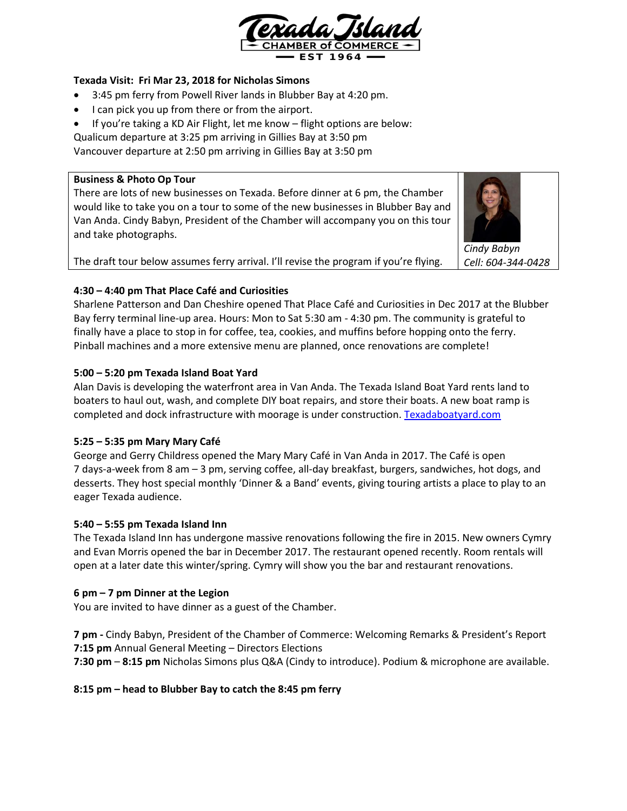

# **Texada Visit: Fri Mar 23, 2018 for Nicholas Simons**

- 3:45 pm ferry from Powell River lands in Blubber Bay at 4:20 pm.
- I can pick you up from there or from the airport.
- If you're taking a KD Air Flight, let me know flight options are below:

Qualicum departure at 3:25 pm arriving in Gillies Bay at 3:50 pm

Vancouver departure at 2:50 pm arriving in Gillies Bay at 3:50 pm

### **Business & Photo Op Tour**

There are lots of new businesses on Texada. Before dinner at 6 pm, the Chamber would like to take you on a tour to some of the new businesses in Blubber Bay and Van Anda. Cindy Babyn, President of the Chamber will accompany you on this tour and take photographs.

The draft tour below assumes ferry arrival. I'll revise the program if you're flying.

*Cindy Babyn*

*Cell: 604-344-0428*

# **4:30 – 4:40 pm That Place Café and Curiosities**

Sharlene Patterson and Dan Cheshire opened That Place Café and Curiosities in Dec 2017 at the Blubber Bay ferry terminal line-up area. Hours: Mon to Sat 5:30 am - 4:30 pm. The community is grateful to finally have a place to stop in for coffee, tea, cookies, and muffins before hopping onto the ferry. Pinball machines and a more extensive menu are planned, once renovations are complete!

# **5:00 – 5:20 pm Texada Island Boat Yard**

Alan Davis is developing the waterfront area in Van Anda. The Texada Island Boat Yard rents land to boaters to haul out, wash, and complete DIY boat repairs, and store their boats. A new boat ramp is completed and dock infrastructure with moorage is under construction[. Texadaboatyard.com](https://texadaboatyard.com/)

# **5:25 – 5:35 pm Mary Mary Café**

George and Gerry Childress opened the Mary Mary Café in Van Anda in 2017. The Café is open 7 days-a-week from 8 am – 3 pm, serving coffee, all-day breakfast, burgers, sandwiches, hot dogs, and desserts. They host special monthly 'Dinner & a Band' events, giving touring artists a place to play to an eager Texada audience.

# **5:40 – 5:55 pm Texada Island Inn**

The Texada Island Inn has undergone massive renovations following the fire in 2015. New owners Cymry and Evan Morris opened the bar in December 2017. The restaurant opened recently. Room rentals will open at a later date this winter/spring. Cymry will show you the bar and restaurant renovations.

# **6 pm – 7 pm Dinner at the Legion**

You are invited to have dinner as a guest of the Chamber.

**7 pm -** Cindy Babyn, President of the Chamber of Commerce: Welcoming Remarks & President's Report **7:15 pm** Annual General Meeting – Directors Elections **7:30 pm** – **8:15 pm** Nicholas Simons plus Q&A (Cindy to introduce). Podium & microphone are available.

# **8:15 pm – head to Blubber Bay to catch the 8:45 pm ferry**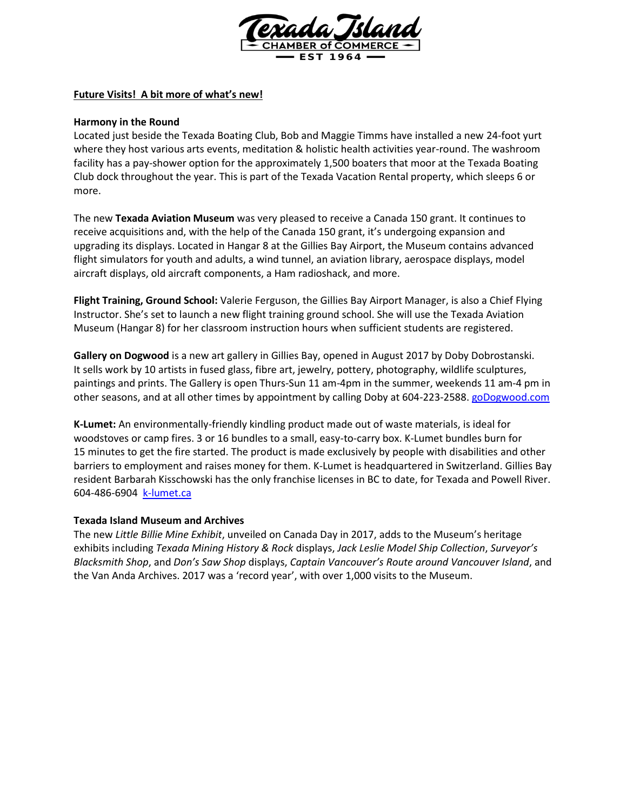

# **Future Visits! A bit more of what's new!**

### **Harmony in the Round**

Located just beside the Texada Boating Club, Bob and Maggie Timms have installed a new 24-foot yurt where they host various arts events, meditation & holistic health activities year-round. The washroom facility has a pay-shower option for the approximately 1,500 boaters that moor at the Texada Boating Club dock throughout the year. This is part of the Texada Vacation Rental property, which sleeps 6 or more.

The new **Texada Aviation Museum** was very pleased to receive a Canada 150 grant. It continues to receive acquisitions and, with the help of the Canada 150 grant, it's undergoing expansion and upgrading its displays. Located in Hangar 8 at the Gillies Bay Airport, the Museum contains advanced flight simulators for youth and adults, a wind tunnel, an aviation library, aerospace displays, model aircraft displays, old aircraft components, a Ham radioshack, and more.

**Flight Training, Ground School:** Valerie Ferguson, the Gillies Bay Airport Manager, is also a Chief Flying Instructor. She's set to launch a new flight training ground school. She will use the Texada Aviation Museum (Hangar 8) for her classroom instruction hours when sufficient students are registered.

**Gallery on Dogwood** is a new art gallery in Gillies Bay, opened in August 2017 by Doby Dobrostanski. It sells work by 10 artists in fused glass, fibre art, jewelry, pottery, photography, wildlife sculptures, paintings and prints. The Gallery is open Thurs-Sun 11 am-4pm in the summer, weekends 11 am-4 pm in other seasons, and at all other times by appointment by calling Doby at 604-223-2588[. goDogwood.com](http://www.godogwood.com/)

**K-Lumet:** An environmentally-friendly kindling product made out of waste materials, is ideal for woodstoves or camp fires. 3 or 16 bundles to a small, easy-to-carry box. K-Lumet bundles burn for 15 minutes to get the fire started. The product is made exclusively by people with disabilities and other barriers to employment and raises money for them. K-Lumet is headquartered in Switzerland. Gillies Bay resident Barbarah Kisschowski has the only franchise licenses in BC to date, for Texada and Powell River. 604-486-6904 [k-lumet.ca](http://k-lumet.ca/product/)

# **Texada Island Museum and Archives**

The new *Little Billie Mine Exhibit*, unveiled on Canada Day in 2017, adds to the Museum's heritage exhibits including *Texada Mining History & Rock* displays, *Jack Leslie Model Ship Collection*, *Surveyor's Blacksmith Shop*, and *Don's Saw Shop* displays, *Captain Vancouver's Route around Vancouver Island*, and the Van Anda Archives. 2017 was a 'record year', with over 1,000 visits to the Museum.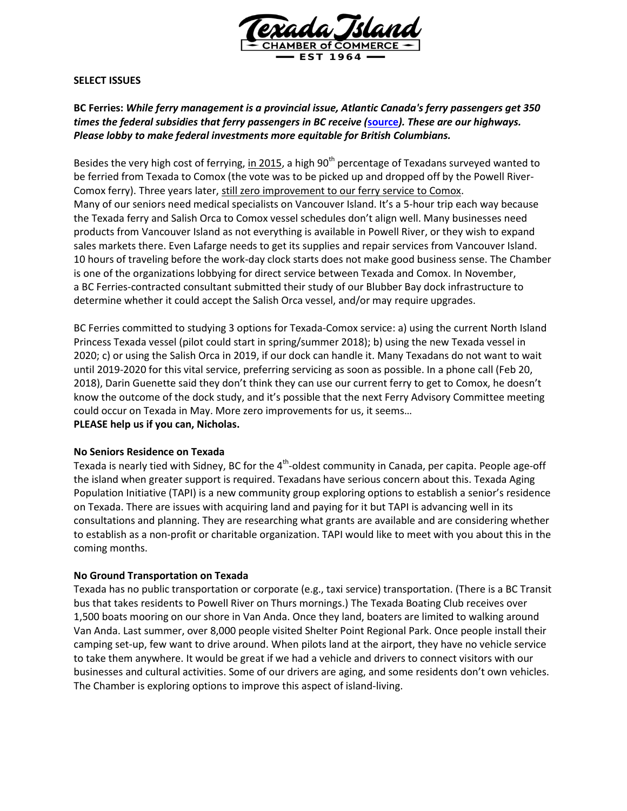

#### **SELECT ISSUES**

# **BC Ferries:** *While ferry management is a provincial issue, Atlantic Canada's ferry passengers get 350 times the federal subsidies that ferry passengers in BC receive (***[source](http://www.vancouversun.com/Stephen+Hume+tale+coasts/10849242/story.html)***). These are our highways. Please lobby to make federal investments more equitable for British Columbians.*

Besides the very high cost of ferrying, in 2015, a high 90<sup>th</sup> percentage of Texadans surveyed wanted to be ferried from Texada to Comox (the vote was to be picked up and dropped off by the Powell River-Comox ferry). Three years later, still zero improvement to our ferry service to Comox. Many of our seniors need medical specialists on Vancouver Island. It's a 5-hour trip each way because the Texada ferry and Salish Orca to Comox vessel schedules don't align well. Many businesses need products from Vancouver Island as not everything is available in Powell River, or they wish to expand sales markets there. Even Lafarge needs to get its supplies and repair services from Vancouver Island. 10 hours of traveling before the work-day clock starts does not make good business sense. The Chamber is one of the organizations lobbying for direct service between Texada and Comox. In November, a BC Ferries-contracted consultant submitted their study of our Blubber Bay dock infrastructure to determine whether it could accept the Salish Orca vessel, and/or may require upgrades.

BC Ferries committed to studying 3 options for Texada-Comox service: a) using the current North Island Princess Texada vessel (pilot could start in spring/summer 2018); b) using the new Texada vessel in 2020; c) or using the Salish Orca in 2019, if our dock can handle it. Many Texadans do not want to wait until 2019-2020 for this vital service, preferring servicing as soon as possible. In a phone call (Feb 20, 2018), Darin Guenette said they don't think they can use our current ferry to get to Comox, he doesn't know the outcome of the dock study, and it's possible that the next Ferry Advisory Committee meeting could occur on Texada in May. More zero improvements for us, it seems… **PLEASE help us if you can, Nicholas.**

#### **No Seniors Residence on Texada**

Texada is nearly tied with Sidney, BC for the 4<sup>th</sup>-oldest community in Canada, per capita. People age-off the island when greater support is required. Texadans have serious concern about this. Texada Aging Population Initiative (TAPI) is a new community group exploring options to establish a senior's residence on Texada. There are issues with acquiring land and paying for it but TAPI is advancing well in its consultations and planning. They are researching what grants are available and are considering whether to establish as a non-profit or charitable organization. TAPI would like to meet with you about this in the coming months.

#### **No Ground Transportation on Texada**

Texada has no public transportation or corporate (e.g., taxi service) transportation. (There is a BC Transit bus that takes residents to Powell River on Thurs mornings.) The Texada Boating Club receives over 1,500 boats mooring on our shore in Van Anda. Once they land, boaters are limited to walking around Van Anda. Last summer, over 8,000 people visited Shelter Point Regional Park. Once people install their camping set-up, few want to drive around. When pilots land at the airport, they have no vehicle service to take them anywhere. It would be great if we had a vehicle and drivers to connect visitors with our businesses and cultural activities. Some of our drivers are aging, and some residents don't own vehicles. The Chamber is exploring options to improve this aspect of island-living.